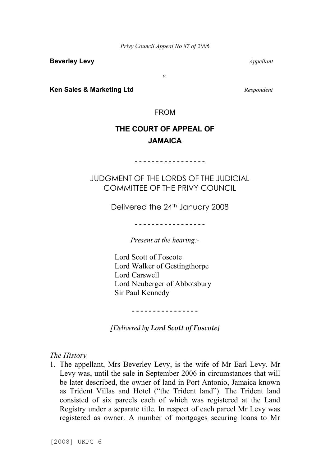**Beverley Levy** *Appellant*

*v.*

**Ken Sales & Marketing Ltd** *Respondent*

FROM

# **THE COURT OF APPEAL OF JAMAICA**

**- - - - - - - - - - - - - - - - -**

JUDGMENT OF THE LORDS OF THE JUDICIAL COMMITTEE OF THE PRIVY COUNCIL

Delivered the 24th January 2008

**- - - - - - - - - - - - - - - - -**

*Present at the hearing:-*

Lord Scott of Foscote Lord Walker of Gestingthorpe Lord Carswell Lord Neuberger of Abbotsbury Sir Paul Kennedy

**- - - - - - - - - - - - - - - -**

*[Delivered by Lord Scott of Foscote]*

*The History*

1. The appellant, Mrs Beverley Levy, is the wife of Mr Earl Levy. Mr Levy was, until the sale in September 2006 in circumstances that will be later described, the owner of land in Port Antonio, Jamaica known as Trident Villas and Hotel ("the Trident land"). The Trident land consisted of six parcels each of which was registered at the Land Registry under a separate title. In respect of each parcel Mr Levy was registered as owner. A number of mortgages securing loans to Mr

[2008] UKPC 6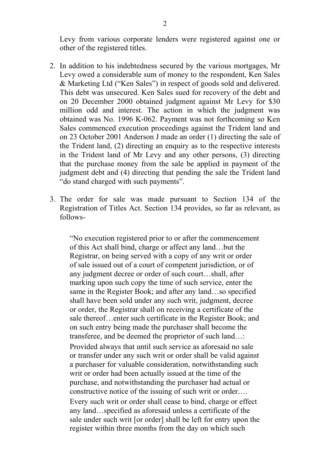Levy from various corporate lenders were registered against one or other of the registered titles.

- 2. In addition to his indebtedness secured by the various mortgages, Mr Levy owed a considerable sum of money to the respondent, Ken Sales & Marketing Ltd ("Ken Sales") in respect of goods sold and delivered. This debt was unsecured. Ken Sales sued for recovery of the debt and on 20 December 2000 obtained judgment against Mr Levy for \$30 million odd and interest. The action in which the judgment was obtained was No. 1996 K-062. Payment was not forthcoming so Ken Sales commenced execution proceedings against the Trident land and on 23 October 2001 Anderson J made an order (1) directing the sale of the Trident land, (2) directing an enquiry as to the respective interests in the Trident land of Mr Levy and any other persons, (3) directing that the purchase money from the sale be applied in payment of the judgment debt and (4) directing that pending the sale the Trident land "do stand charged with such payments".
- 3. The order for sale was made pursuant to Section 134 of the Registration of Titles Act. Section 134 provides, so far as relevant, as follows-

"No execution registered prior to or after the commencement of this Act shall bind, charge or affect any land…but the Registrar, on being served with a copy of any writ or order of sale issued out of a court of competent jurisdiction, or of any judgment decree or order of such court…shall, after marking upon such copy the time of such service, enter the same in the Register Book; and after any land…so specified shall have been sold under any such writ, judgment, decree or order, the Registrar shall on receiving a certificate of the sale thereof…enter such certificate in the Register Book; and on such entry being made the purchaser shall become the transferee, and be deemed the proprietor of such land…: Provided always that until such service as aforesaid no sale or transfer under any such writ or order shall be valid against a purchaser for valuable consideration, notwithstanding such writ or order had been actually issued at the time of the purchase, and notwithstanding the purchaser had actual or constructive notice of the issuing of such writ or order…. Every such writ or order shall cease to bind, charge or effect any land…specified as aforesaid unless a certificate of the sale under such writ [or order] shall be left for entry upon the register within three months from the day on which such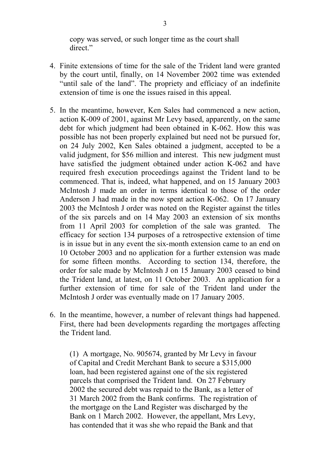copy was served, or such longer time as the court shall direct."

- 4. Finite extensions of time for the sale of the Trident land were granted by the court until, finally, on 14 November 2002 time was extended "until sale of the land". The propriety and efficiacy of an indefinite extension of time is one the issues raised in this appeal.
- 5. In the meantime, however, Ken Sales had commenced a new action, action K-009 of 2001, against Mr Levy based, apparently, on the same debt for which judgment had been obtained in K-062. How this was possible has not been properly explained but need not be pursued for, on 24 July 2002, Ken Sales obtained a judgment, accepted to be a valid judgment, for \$56 million and interest. This new judgment must have satisfied the judgment obtained under action K-062 and have required fresh execution proceedings against the Trident land to be commenced. That is, indeed, what happened, and on 15 January 2003 McIntosh J made an order in terms identical to those of the order Anderson J had made in the now spent action K-062. On 17 January 2003 the McIntosh J order was noted on the Register against the titles of the six parcels and on 14 May 2003 an extension of six months from 11 April 2003 for completion of the sale was granted. The efficacy for section 134 purposes of a retrospective extension of time is in issue but in any event the six-month extension came to an end on 10 October 2003 and no application for a further extension was made for some fifteen months. According to section 134, therefore, the order for sale made by McIntosh J on 15 January 2003 ceased to bind the Trident land, at latest, on 11 October 2003. An application for a further extension of time for sale of the Trident land under the McIntosh J order was eventually made on 17 January 2005.
- 6. In the meantime, however, a number of relevant things had happened. First, there had been developments regarding the mortgages affecting the Trident land.

(1) A mortgage, No. 905674, granted by Mr Levy in favour of Capital and Credit Merchant Bank to secure a \$315,000 loan, had been registered against one of the six registered parcels that comprised the Trident land. On 27 February 2002 the secured debt was repaid to the Bank, as a letter of 31 March 2002 from the Bank confirms. The registration of the mortgage on the Land Register was discharged by the Bank on 1 March 2002. However, the appellant, Mrs Levy, has contended that it was she who repaid the Bank and that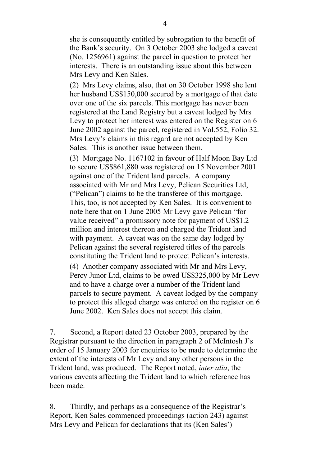she is consequently entitled by subrogation to the benefit of the Bank's security. On 3 October 2003 she lodged a caveat (No. 1256961) against the parcel in question to protect her interests. There is an outstanding issue about this between Mrs Levy and Ken Sales.

(2) Mrs Levy claims, also, that on 30 October 1998 she lent her husband US\$150,000 secured by a mortgage of that date over one of the six parcels. This mortgage has never been registered at the Land Registry but a caveat lodged by Mrs Levy to protect her interest was entered on the Register on 6 June 2002 against the parcel, registered in Vol.552, Folio 32. Mrs Levy's claims in this regard are not accepted by Ken Sales. This is another issue between them.

(3) Mortgage No. 1167102 in favour of Half Moon Bay Ltd to secure US\$861,880 was registered on 15 November 2001 against one of the Trident land parcels. A company associated with Mr and Mrs Levy, Pelican Securities Ltd, ("Pelican") claims to be the transferee of this mortgage. This, too, is not accepted by Ken Sales. It is convenient to note here that on 1 June 2005 Mr Levy gave Pelican "for value received" a promissory note for payment of US\$1.2 million and interest thereon and charged the Trident land with payment. A caveat was on the same day lodged by Pelican against the several registered titles of the parcels constituting the Trident land to protect Pelican's interests.

(4) Another company associated with Mr and Mrs Levy, Percy Junor Ltd, claims to be owed US\$325,000 by Mr Levy and to have a charge over a number of the Trident land parcels to secure payment. A caveat lodged by the company to protect this alleged charge was entered on the register on 6 June 2002. Ken Sales does not accept this claim.

7. Second, a Report dated 23 October 2003, prepared by the Registrar pursuant to the direction in paragraph 2 of McIntosh J's order of 15 January 2003 for enquiries to be made to determine the extent of the interests of Mr Levy and any other persons in the Trident land, was produced. The Report noted, *inter alia*, the various caveats affecting the Trident land to which reference has been made.

8. Thirdly, and perhaps as a consequence of the Registrar's Report, Ken Sales commenced proceedings (action 243) against Mrs Levy and Pelican for declarations that its (Ken Sales')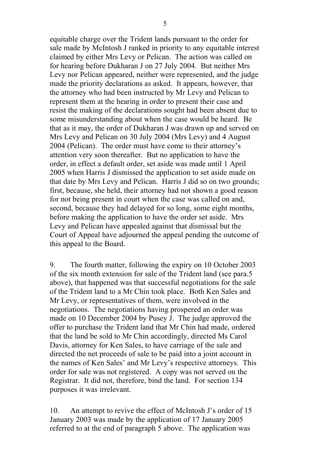equitable charge over the Trident lands pursuant to the order for sale made by McIntosh J ranked in priority to any equitable interest claimed by either Mrs Levy or Pelican. The action was called on for hearing before Dukharan J on 27 July 2004. But neither Mrs Levy nor Pelican appeared, neither were represented, and the judge made the priority declarations as asked. It appears, however, that the attorney who had been instructed by Mr Levy and Pelican to represent them at the hearing in order to present their case and resist the making of the declarations sought had been absent due to some misunderstanding about when the case would be heard. Be that as it may, the order of Dukharan J was drawn up and served on Mrs Levy and Pelican on 30 July 2004 (Mrs Levy) and 4 August 2004 (Pelican). The order must have come to their attorney's attention very soon thereafter. But no application to have the order, in effect a default order, set aside was made until 1 April 2005 when Harris J dismissed the application to set aside made on that date by Mrs Levy and Pelican. Harris J did so on two grounds; first, because, she held, their attorney had not shown a good reason for not being present in court when the case was called on and, second, because they had delayed for so long, some eight months, before making the application to have the order set aside. Mrs Levy and Pelican have appealed against that dismissal but the Court of Appeal have adjourned the appeal pending the outcome of this appeal to the Board.

9. The fourth matter, following the expiry on 10 October 2003 of the six month extension for sale of the Trident land (see para.5 above), that happened was that successful negotiations for the sale of the Trident land to a Mr Chin took place. Both Ken Sales and Mr Levy, or representatives of them, were involved in the negotiations. The negotiations having prospered an order was made on 10 December 2004 by Pusey J. The judge approved the offer to purchase the Trident land that Mr Chin had made, ordered that the land be sold to Mr Chin accordingly, directed Ms Carol Davis, attorney for Ken Sales, to have carriage of the sale and directed the net proceeds of sale to be paid into a joint account in the names of Ken Sales' and Mr Levy's respective attorneys. This order for sale was not registered. A copy was not served on the Registrar. It did not, therefore, bind the land. For section 134 purposes it was irrelevant.

10. An attempt to revive the effect of McIntosh J's order of 15 January 2003 was made by the application of 17 January 2005 referred to at the end of paragraph 5 above. The application was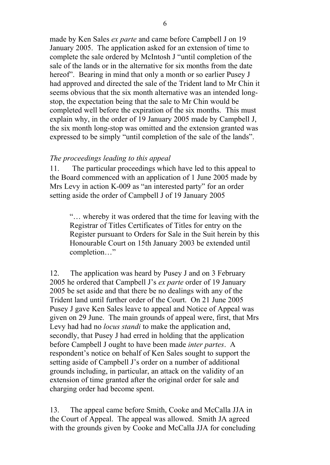made by Ken Sales *ex parte* and came before Campbell J on 19 January 2005. The application asked for an extension of time to complete the sale ordered by McIntosh J "until completion of the sale of the lands or in the alternative for six months from the date hereof". Bearing in mind that only a month or so earlier Pusey J had approved and directed the sale of the Trident land to Mr Chin it seems obvious that the six month alternative was an intended longstop, the expectation being that the sale to Mr Chin would be completed well before the expiration of the six months. This must explain why, in the order of 19 January 2005 made by Campbell J, the six month long-stop was omitted and the extension granted was expressed to be simply "until completion of the sale of the lands".

### *The proceedings leading to this appeal*

11. The particular proceedings which have led to this appeal to the Board commenced with an application of 1 June 2005 made by Mrs Levy in action K-009 as "an interested party" for an order setting aside the order of Campbell J of 19 January 2005

"… whereby it was ordered that the time for leaving with the Registrar of Titles Certificates of Titles for entry on the Register pursuant to Orders for Sale in the Suit herein by this Honourable Court on 15th January 2003 be extended until completion…"

12. The application was heard by Pusey J and on 3 February 2005 he ordered that Campbell J's *ex parte* order of 19 January 2005 be set aside and that there be no dealings with any of the Trident land until further order of the Court. On 21 June 2005 Pusey J gave Ken Sales leave to appeal and Notice of Appeal was given on 29 June. The main grounds of appeal were, first, that Mrs Levy had had no *locus standi* to make the application and, secondly, that Pusey J had erred in holding that the application before Campbell J ought to have been made *inter partes*. A respondent's notice on behalf of Ken Sales sought to support the setting aside of Campbell J's order on a number of additional grounds including, in particular, an attack on the validity of an extension of time granted after the original order for sale and charging order had become spent.

13. The appeal came before Smith, Cooke and McCalla JJA in the Court of Appeal. The appeal was allowed. Smith JA agreed with the grounds given by Cooke and McCalla JJA for concluding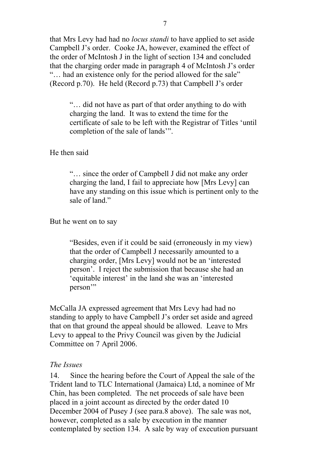that Mrs Levy had had no *locus standi* to have applied to set aside Campbell J's order. Cooke JA, however, examined the effect of the order of McIntosh J in the light of section 134 and concluded that the charging order made in paragraph 4 of McIntosh J's order "… had an existence only for the period allowed for the sale" (Record p.70). He held (Record p.73) that Campbell J's order

"… did not have as part of that order anything to do with charging the land. It was to extend the time for the certificate of sale to be left with the Registrar of Titles 'until completion of the sale of lands'".

#### He then said

"… since the order of Campbell J did not make any order charging the land, I fail to appreciate how [Mrs Levy] can have any standing on this issue which is pertinent only to the sale of land."

#### But he went on to say

"Besides, even if it could be said (erroneously in my view) that the order of Campbell J necessarily amounted to a charging order, [Mrs Levy] would not be an 'interested person'. I reject the submission that because she had an 'equitable interest' in the land she was an 'interested person'"

McCalla JA expressed agreement that Mrs Levy had had no standing to apply to have Campbell J's order set aside and agreed that on that ground the appeal should be allowed. Leave to Mrs Levy to appeal to the Privy Council was given by the Judicial Committee on 7 April 2006.

#### *The Issues*

14. Since the hearing before the Court of Appeal the sale of the Trident land to TLC International (Jamaica) Ltd, a nominee of Mr Chin, has been completed. The net proceeds of sale have been placed in a joint account as directed by the order dated 10 December 2004 of Pusey J (see para.8 above). The sale was not, however, completed as a sale by execution in the manner contemplated by section 134. A sale by way of execution pursuant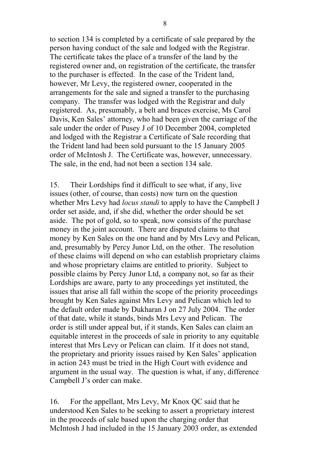to section 134 is completed by a certificate of sale prepared by the person having conduct of the sale and lodged with the Registrar. The certificate takes the place of a transfer of the land by the registered owner and, on registration of the certificate, the transfer to the purchaser is effected. In the case of the Trident land, however, Mr Levy, the registered owner, cooperated in the arrangements for the sale and signed a transfer to the purchasing company. The transfer was lodged with the Registrar and duly registered. As, presumably, a belt and braces exercise, Ms Carol Davis, Ken Sales' attorney, who had been given the carriage of the sale under the order of Pusey J of 10 December 2004, completed and lodged with the Registrar a Certificate of Sale recording that the Trident land had been sold pursuant to the 15 January 2005 order of McIntosh J. The Certificate was, however, unnecessary. The sale, in the end, had not been a section 134 sale.

15. Their Lordships find it difficult to see what, if any, live issues (other, of course, than costs) now turn on the question whether Mrs Levy had *locus standi* to apply to have the Campbell J order set aside, and, if she did, whether the order should be set aside. The pot of gold, so to speak, now consists of the purchase money in the joint account. There are disputed claims to that money by Ken Sales on the one hand and by Mrs Levy and Pelican, and, presumably by Percy Junor Ltd, on the other. The resolution of these claims will depend on who can establish proprietary claims and whose proprietary claims are entitled to priority. Subject to possible claims by Percy Junor Ltd, a company not, so far as their Lordships are aware, party to any proceedings yet instituted, the issues that arise all fall within the scope of the priority proceedings brought by Ken Sales against Mrs Levy and Pelican which led to the default order made by Dukharan J on 27 July 2004. The order of that date, while it stands, binds Mrs Levy and Pelican. The order is still under appeal but, if it stands, Ken Sales can claim an equitable interest in the proceeds of sale in priority to any equitable interest that Mrs Levy or Pelican can claim. If it does not stand, the proprietary and priority issues raised by Ken Sales' application in action 243 must be tried in the High Court with evidence and argument in the usual way. The question is what, if any, difference Campbell J's order can make.

16. For the appellant, Mrs Levy, Mr Knox QC said that he understood Ken Sales to be seeking to assert a proprietary interest in the proceeds of sale based upon the charging order that McIntosh J had included in the 15 January 2003 order, as extended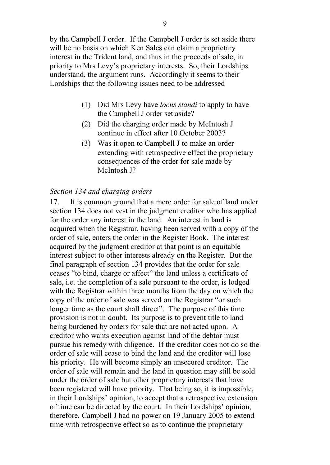by the Campbell J order. If the Campbell J order is set aside there will be no basis on which Ken Sales can claim a proprietary interest in the Trident land, and thus in the proceeds of sale, in priority to Mrs Levy's proprietary interests. So, their Lordships understand, the argument runs. Accordingly it seems to their Lordships that the following issues need to be addressed

- (1) Did Mrs Levy have *locus standi* to apply to have the Campbell J order set aside?
- (2) Did the charging order made by McIntosh J continue in effect after 10 October 2003?
- (3) Was it open to Campbell J to make an order extending with retrospective effect the proprietary consequences of the order for sale made by McIntosh J?

### *Section 134 and charging orders*

17. It is common ground that a mere order for sale of land under section 134 does not vest in the judgment creditor who has applied for the order any interest in the land. An interest in land is acquired when the Registrar, having been served with a copy of the order of sale, enters the order in the Register Book. The interest acquired by the judgment creditor at that point is an equitable interest subject to other interests already on the Register. But the final paragraph of section 134 provides that the order for sale ceases "to bind, charge or affect" the land unless a certificate of sale, i.e. the completion of a sale pursuant to the order, is lodged with the Registrar within three months from the day on which the copy of the order of sale was served on the Registrar "or such longer time as the court shall direct". The purpose of this time provision is not in doubt. Its purpose is to prevent title to land being burdened by orders for sale that are not acted upon. A creditor who wants execution against land of the debtor must pursue his remedy with diligence. If the creditor does not do so the order of sale will cease to bind the land and the creditor will lose his priority. He will become simply an unsecured creditor. The order of sale will remain and the land in question may still be sold under the order of sale but other proprietary interests that have been registered will have priority. That being so, it is impossible, in their Lordships' opinion, to accept that a retrospective extension of time can be directed by the court. In their Lordships' opinion, therefore, Campbell J had no power on 19 January 2005 to extend time with retrospective effect so as to continue the proprietary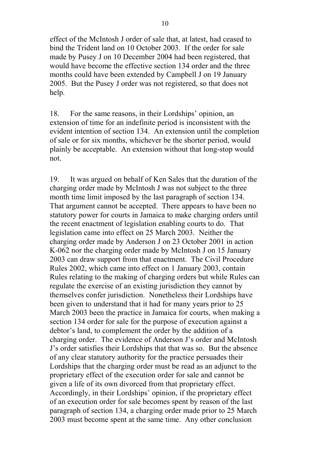effect of the McIntosh J order of sale that, at latest, had ceased to bind the Trident land on 10 October 2003. If the order for sale made by Pusey J on 10 December 2004 had been registered, that would have become the effective section 134 order and the three months could have been extended by Campbell J on 19 January 2005. But the Pusey J order was not registered, so that does not help.

18. For the same reasons, in their Lordships' opinion, an extension of time for an indefinite period is inconsistent with the evident intention of section 134. An extension until the completion of sale or for six months, whichever be the shorter period, would plainly be acceptable. An extension without that long-stop would not.

19. It was argued on behalf of Ken Sales that the duration of the charging order made by McIntosh J was not subject to the three month time limit imposed by the last paragraph of section 134. That argument cannot be accepted. There appears to have been no statutory power for courts in Jamaica to make charging orders until the recent enactment of legislation enabling courts to do. That legislation came into effect on 25 March 2003. Neither the charging order made by Anderson J on 23 October 2001 in action K-062 nor the charging order made by McIntosh J on 15 January 2003 can draw support from that enactment. The Civil Procedure Rules 2002, which came into effect on 1 January 2003, contain Rules relating to the making of charging orders but while Rules can regulate the exercise of an existing jurisdiction they cannot by themselves confer jurisdiction. Nonetheless their Lordships have been given to understand that it had for many years prior to 25 March 2003 been the practice in Jamaica for courts, when making a section 134 order for sale for the purpose of execution against a debtor's land, to complement the order by the addition of a charging order. The evidence of Anderson J's order and McIntosh J's order satisfies their Lordships that that was so. But the absence of any clear statutory authority for the practice persuades their Lordships that the charging order must be read as an adjunct to the proprietary effect of the execution order for sale and cannot be given a life of its own divorced from that proprietary effect. Accordingly, in their Lordships' opinion, if the proprietary effect of an execution order for sale becomes spent by reason of the last paragraph of section 134, a charging order made prior to 25 March 2003 must become spent at the same time. Any other conclusion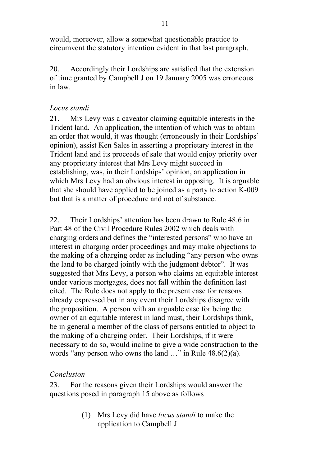would, moreover, allow a somewhat questionable practice to circumvent the statutory intention evident in that last paragraph.

20. Accordingly their Lordships are satisfied that the extension of time granted by Campbell J on 19 January 2005 was erroneous in law.

## *Locus standi*

21. Mrs Levy was a caveator claiming equitable interests in the Trident land. An application, the intention of which was to obtain an order that would, it was thought (erroneously in their Lordships' opinion), assist Ken Sales in asserting a proprietary interest in the Trident land and its proceeds of sale that would enjoy priority over any proprietary interest that Mrs Levy might succeed in establishing, was, in their Lordships' opinion, an application in which Mrs Levy had an obvious interest in opposing. It is arguable that she should have applied to be joined as a party to action K-009 but that is a matter of procedure and not of substance.

22. Their Lordships' attention has been drawn to Rule 48.6 in Part 48 of the Civil Procedure Rules 2002 which deals with charging orders and defines the "interested persons" who have an interest in charging order proceedings and may make objections to the making of a charging order as including "any person who owns the land to be charged jointly with the judgment debtor". It was suggested that Mrs Levy, a person who claims an equitable interest under various mortgages, does not fall within the definition last cited. The Rule does not apply to the present case for reasons already expressed but in any event their Lordships disagree with the proposition. A person with an arguable case for being the owner of an equitable interest in land must, their Lordships think, be in general a member of the class of persons entitled to object to the making of a charging order. Their Lordships, if it were necessary to do so, would incline to give a wide construction to the words "any person who owns the land …" in Rule 48.6(2)(a).

### *Conclusion*

23. For the reasons given their Lordships would answer the questions posed in paragraph 15 above as follows

> (1) Mrs Levy did have *locus standi* to make the application to Campbell J